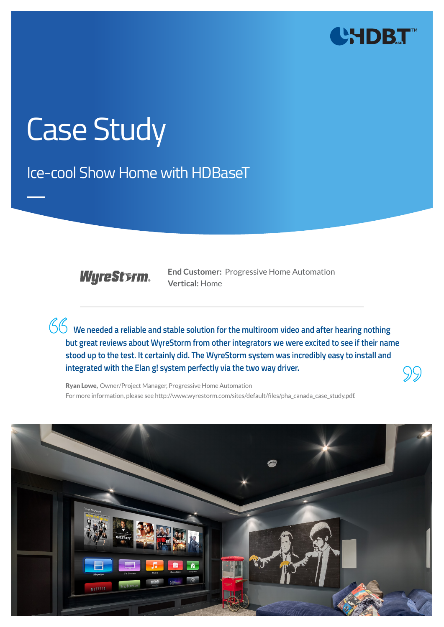

# Case Study

Ice-cool Show Home with HDBaseT

**WyreStsrm.** 

**End Customer:** Progressive Home Automation **Vertical:** Home

**We needed a reliable and stable solution for the multiroom video and after hearing nothing but great reviews about WyreStorm from other integrators we were excited to see if their name stood up to the test. It certainly did. The WyreStorm system was incredibly easy to install and integrated with the Elan g! system perfectly via the two way driver.**



Ryan Lowe, Owner/Project Manager, Progressive Home Automation For more information, please see http://www.wyrestorm.com/sites/default/files/pha\_canada\_case\_study.pdf.